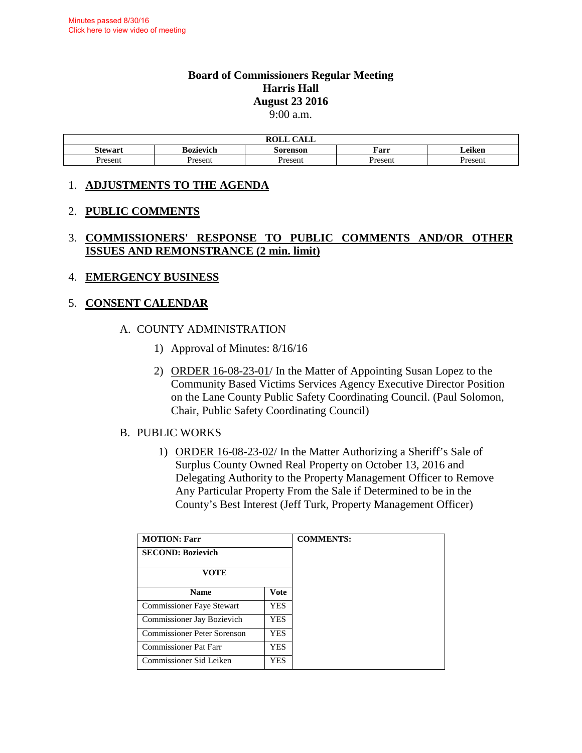#### **Board of Commissioners Regular Meeting Harris Hall August 23 2016**  9:00 a.m.

| <b>ROLL</b><br>$\bigcap$ $\bigcap$ $\bigcap$<br>лы |           |          |         |                     |  |  |
|----------------------------------------------------|-----------|----------|---------|---------------------|--|--|
| <b>Stewart</b>                                     | Bozievich | Sorenson | Farr    | $\bullet$<br>Leıken |  |  |
| Present                                            | Present   | Present  | Present | resent              |  |  |

### 1. **ADJUSTMENTS TO THE AGENDA**

### 2. **PUBLIC COMMENTS**

### 3. **COMMISSIONERS' RESPONSE TO PUBLIC COMMENTS AND/OR OTHER ISSUES AND REMONSTRANCE (2 min. limit)**

### 4. **EMERGENCY BUSINESS**

### 5. **CONSENT CALENDAR**

### A. COUNTY ADMINISTRATION

- 1) Approval of Minutes: 8/16/16
- 2) ORDER 16-08-23-01/ In the Matter of Appointing Susan Lopez to the Community Based Victims Services Agency Executive Director Position on the Lane County Public Safety Coordinating Council. (Paul Solomon, Chair, Public Safety Coordinating Council)

#### B. PUBLIC WORKS

1) ORDER 16-08-23-02/ In the Matter Authorizing a Sheriff's Sale of Surplus County Owned Real Property on October 13, 2016 and Delegating Authority to the Property Management Officer to Remove Any Particular Property From the Sale if Determined to be in the County's Best Interest (Jeff Turk, Property Management Officer)

| <b>MOTION: Farr</b>               | <b>COMMENTS:</b> |  |
|-----------------------------------|------------------|--|
| <b>SECOND: Bozievich</b>          |                  |  |
| VOTE                              |                  |  |
| <b>Name</b>                       | <b>Vote</b>      |  |
| <b>Commissioner Faye Stewart</b>  | YES              |  |
| <b>Commissioner Jay Bozievich</b> | YES.             |  |
| Commissioner Peter Sorenson       | YES.             |  |
| <b>Commissioner Pat Farr</b>      | YES              |  |
| Commissioner Sid Leiken<br>YES    |                  |  |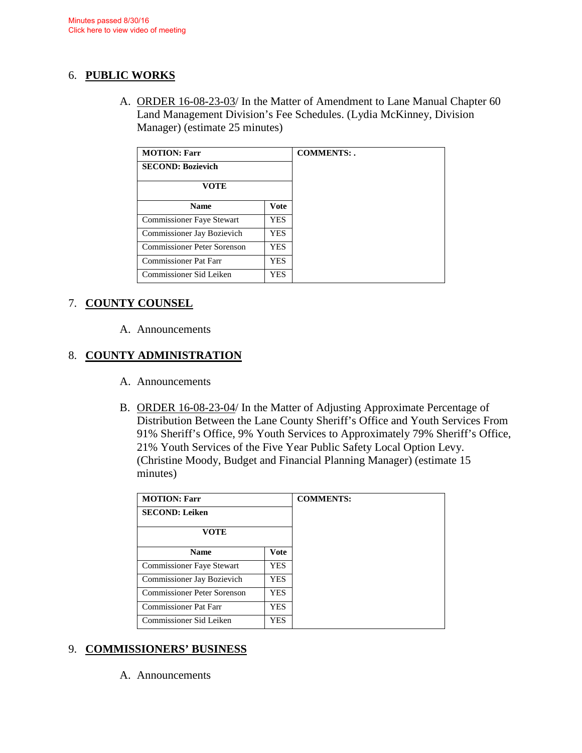### 6. **PUBLIC WORKS**

A. ORDER 16-08-23-03/ In the Matter of Amendment to Lane Manual Chapter 60 Land Management Division's Fee Schedules. (Lydia McKinney, Division Manager) (estimate 25 minutes)

| <b>MOTION: Farr</b>              | <b>COMMENTS:.</b> |  |
|----------------------------------|-------------------|--|
| <b>SECOND: Bozievich</b>         |                   |  |
| VOTE                             |                   |  |
| <b>Name</b>                      | <b>Vote</b>       |  |
| <b>Commissioner Faye Stewart</b> | <b>YES</b>        |  |
| Commissioner Jay Bozievich       | <b>YES</b>        |  |
| Commissioner Peter Sorenson      | <b>YES</b>        |  |
| Commissioner Pat Farr            | <b>YES</b>        |  |
| Commissioner Sid Leiken          | YES               |  |

## 7. **COUNTY COUNSEL**

A. Announcements

# 8. **COUNTY ADMINISTRATION**

- A. Announcements
- B. ORDER 16-08-23-04/ In the Matter of Adjusting Approximate Percentage of Distribution Between the Lane County Sheriff's Office and Youth Services From 91% Sheriff's Office, 9% Youth Services to Approximately 79% Sheriff's Office, 21% Youth Services of the Five Year Public Safety Local Option Levy. (Christine Moody, Budget and Financial Planning Manager) (estimate 15 minutes)

| <b>MOTION: Farr</b>          |             |  |
|------------------------------|-------------|--|
| <b>SECOND: Leiken</b>        |             |  |
| <b>VOTE</b>                  |             |  |
| <b>Name</b>                  | <b>Vote</b> |  |
| Commissioner Faye Stewart    | <b>YES</b>  |  |
| Commissioner Jay Bozievich   | YES.        |  |
| Commissioner Peter Sorenson  | <b>YES</b>  |  |
| <b>Commissioner Pat Farr</b> | YES.        |  |
| Commissioner Sid Leiken      | <b>YES</b>  |  |

## 9. **COMMISSIONERS' BUSINESS**

A. Announcements